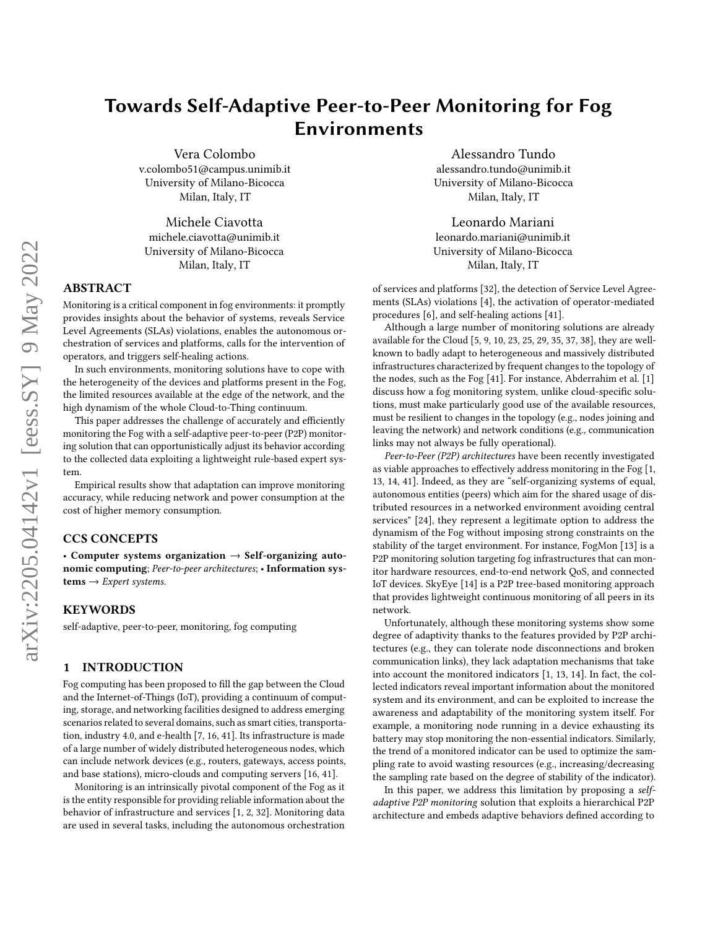# Towards Self-Adaptive Peer-to-Peer Monitoring for Fog Environments

Vera Colombo v.colombo51@campus.unimib.it University of Milano-Bicocca Milan, Italy, IT

[Michele Ciavotta](https://orcid.org/0000-0002-2480-966X) michele.ciavotta@unimib.it University of Milano-Bicocca Milan, Italy, IT

### ABSTRACT

Monitoring is a critical component in fog environments: it promptly provides insights about the behavior of systems, reveals Service Level Agreements (SLAs) violations, enables the autonomous orchestration of services and platforms, calls for the intervention of operators, and triggers self-healing actions.

In such environments, monitoring solutions have to cope with the heterogeneity of the devices and platforms present in the Fog, the limited resources available at the edge of the network, and the high dynamism of the whole Cloud-to-Thing continuum.

This paper addresses the challenge of accurately and efficiently monitoring the Fog with a self-adaptive peer-to-peer (P2P) monitoring solution that can opportunistically adjust its behavior according to the collected data exploiting a lightweight rule-based expert system.

Empirical results show that adaptation can improve monitoring accuracy, while reducing network and power consumption at the cost of higher memory consumption.

### CCS CONCEPTS

• Computer systems organization  $\rightarrow$  Self-organizing autonomic computing; Peer-to-peer architectures; • Information sys $tems \rightarrow Expert$  systems.

#### **KEYWORDS**

self-adaptive, peer-to-peer, monitoring, fog computing

#### 1 INTRODUCTION

Fog computing has been proposed to fill the gap between the Cloud and the Internet-of-Things (IoT), providing a continuum of computing, storage, and networking facilities designed to address emerging scenarios related to several domains, such as smart cities, transportation, industry 4.0, and e-health [\[7,](#page-10-0) [16,](#page-10-1) [41\]](#page-10-2). Its infrastructure is made of a large number of widely distributed heterogeneous nodes, which can include network devices (e.g., routers, gateways, access points, and base stations), micro-clouds and computing servers [\[16,](#page-10-1) [41\]](#page-10-2).

Monitoring is an intrinsically pivotal component of the Fog as it is the entity responsible for providing reliable information about the behavior of infrastructure and services [\[1,](#page-10-3) [2,](#page-10-4) [32\]](#page-10-5). Monitoring data are used in several tasks, including the autonomous orchestration

[Alessandro Tundo](https://orcid.org/0000-0001-8840-8948) alessandro.tundo@unimib.it University of Milano-Bicocca Milan, Italy, IT

[Leonardo Mariani](https://orcid.org/0000-0001-9527-7042) leonardo.mariani@unimib.it University of Milano-Bicocca Milan, Italy, IT

of services and platforms [\[32\]](#page-10-5), the detection of Service Level Agreements (SLAs) violations [\[4\]](#page-10-6), the activation of operator-mediated procedures [\[6\]](#page-10-7), and self-healing actions [\[41\]](#page-10-2).

Although a large number of monitoring solutions are already available for the Cloud [\[5,](#page-10-8) [9,](#page-10-9) [10,](#page-10-10) [23,](#page-10-11) [25,](#page-10-12) [29,](#page-10-13) [35,](#page-10-14) [37,](#page-10-15) [38\]](#page-10-16), they are wellknown to badly adapt to heterogeneous and massively distributed infrastructures characterized by frequent changes to the topology of the nodes, such as the Fog [\[41\]](#page-10-2). For instance, Abderrahim et al. [\[1\]](#page-10-3) discuss how a fog monitoring system, unlike cloud-specific solutions, must make particularly good use of the available resources, must be resilient to changes in the topology (e.g., nodes joining and leaving the network) and network conditions (e.g., communication links may not always be fully operational).

Peer-to-Peer (P2P) architectures have been recently investigated as viable approaches to effectively address monitoring in the Fog [\[1,](#page-10-3) [13,](#page-10-17) [14,](#page-10-18) [41\]](#page-10-2). Indeed, as they are "self-organizing systems of equal, autonomous entities (peers) which aim for the shared usage of distributed resources in a networked environment avoiding central services" [\[24\]](#page-10-19), they represent a legitimate option to address the dynamism of the Fog without imposing strong constraints on the stability of the target environment. For instance, FogMon [\[13\]](#page-10-17) is a P2P monitoring solution targeting fog infrastructures that can monitor hardware resources, end-to-end network QoS, and connected IoT devices. SkyEye [\[14\]](#page-10-18) is a P2P tree-based monitoring approach that provides lightweight continuous monitoring of all peers in its network.

Unfortunately, although these monitoring systems show some degree of adaptivity thanks to the features provided by P2P architectures (e.g., they can tolerate node disconnections and broken communication links), they lack adaptation mechanisms that take into account the monitored indicators [\[1,](#page-10-3) [13,](#page-10-17) [14\]](#page-10-18). In fact, the collected indicators reveal important information about the monitored system and its environment, and can be exploited to increase the awareness and adaptability of the monitoring system itself. For example, a monitoring node running in a device exhausting its battery may stop monitoring the non-essential indicators. Similarly, the trend of a monitored indicator can be used to optimize the sampling rate to avoid wasting resources (e.g., increasing/decreasing the sampling rate based on the degree of stability of the indicator).

In this paper, we address this limitation by proposing a selfadaptive P2P monitoring solution that exploits a hierarchical P2P architecture and embeds adaptive behaviors defined according to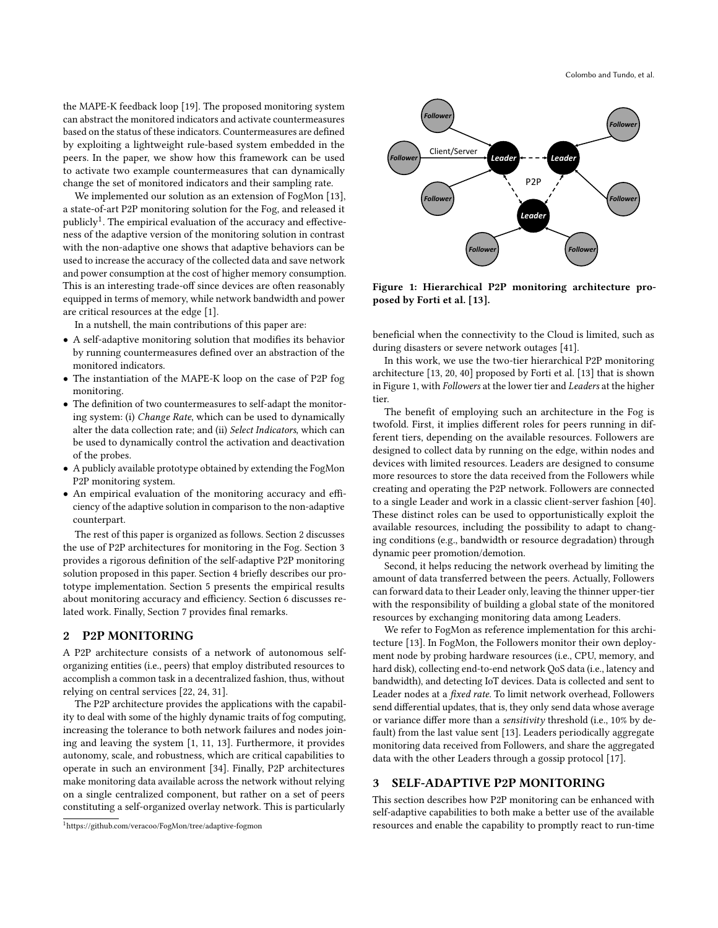the MAPE-K feedback loop [\[19\]](#page-10-20). The proposed monitoring system can abstract the monitored indicators and activate countermeasures based on the status of these indicators. Countermeasures are defined by exploiting a lightweight rule-based system embedded in the peers. In the paper, we show how this framework can be used to activate two example countermeasures that can dynamically change the set of monitored indicators and their sampling rate.

We implemented our solution as an extension of FogMon [\[13\]](#page-10-17), a state-of-art P2P monitoring solution for the Fog, and released it publicly<sup>[1](#page-1-0)</sup>. The empirical evaluation of the accuracy and effectiveness of the adaptive version of the monitoring solution in contrast with the non-adaptive one shows that adaptive behaviors can be used to increase the accuracy of the collected data and save network and power consumption at the cost of higher memory consumption. This is an interesting trade-off since devices are often reasonably equipped in terms of memory, while network bandwidth and power are critical resources at the edge [\[1\]](#page-10-3).

In a nutshell, the main contributions of this paper are:

- A self-adaptive monitoring solution that modifies its behavior by running countermeasures defined over an abstraction of the monitored indicators.
- The instantiation of the MAPE-K loop on the case of P2P fog monitoring.
- The definition of two countermeasures to self-adapt the monitoring system: (i) Change Rate, which can be used to dynamically alter the data collection rate; and (ii) Select Indicators, which can be used to dynamically control the activation and deactivation of the probes.
- A publicly available prototype obtained by extending the FogMon P2P monitoring system.
- An empirical evaluation of the monitoring accuracy and efficiency of the adaptive solution in comparison to the non-adaptive counterpart.

The rest of this paper is organized as follows. Section [2](#page-1-1) discusses the use of P2P architectures for monitoring in the Fog. Section [3](#page-1-2) provides a rigorous definition of the self-adaptive P2P monitoring solution proposed in this paper. Section [4](#page-4-0) briefly describes our prototype implementation. Section [5](#page-4-1) presents the empirical results about monitoring accuracy and efficiency. Section [6](#page-8-0) discusses related work. Finally, Section [7](#page-9-0) provides final remarks.

## <span id="page-1-1"></span>2 P2P MONITORING

A P2P architecture consists of a network of autonomous selforganizing entities (i.e., peers) that employ distributed resources to accomplish a common task in a decentralized fashion, thus, without relying on central services [\[22,](#page-10-21) [24,](#page-10-19) [31\]](#page-10-22).

The P2P architecture provides the applications with the capability to deal with some of the highly dynamic traits of fog computing, increasing the tolerance to both network failures and nodes joining and leaving the system [\[1,](#page-10-3) [11,](#page-10-23) [13\]](#page-10-17). Furthermore, it provides autonomy, scale, and robustness, which are critical capabilities to operate in such an environment [\[34\]](#page-10-24). Finally, P2P architectures make monitoring data available across the network without relying on a single centralized component, but rather on a set of peers constituting a self-organized overlay network. This is particularly

<span id="page-1-3"></span>

Figure 1: Hierarchical P2P monitoring architecture proposed by Forti et al. [\[13\]](#page-10-17).

beneficial when the connectivity to the Cloud is limited, such as during disasters or severe network outages [\[41\]](#page-10-2).

In this work, we use the two-tier hierarchical P2P monitoring architecture [\[13,](#page-10-17) [20,](#page-10-25) [40\]](#page-10-26) proposed by Forti et al. [\[13\]](#page-10-17) that is shown in Figure [1,](#page-1-3) with Followers at the lower tier and Leaders at the higher tier.

The benefit of employing such an architecture in the Fog is twofold. First, it implies different roles for peers running in different tiers, depending on the available resources. Followers are designed to collect data by running on the edge, within nodes and devices with limited resources. Leaders are designed to consume more resources to store the data received from the Followers while creating and operating the P2P network. Followers are connected to a single Leader and work in a classic client-server fashion [\[40\]](#page-10-26). These distinct roles can be used to opportunistically exploit the available resources, including the possibility to adapt to changing conditions (e.g., bandwidth or resource degradation) through dynamic peer promotion/demotion.

Second, it helps reducing the network overhead by limiting the amount of data transferred between the peers. Actually, Followers can forward data to their Leader only, leaving the thinner upper-tier with the responsibility of building a global state of the monitored resources by exchanging monitoring data among Leaders.

We refer to FogMon as reference implementation for this architecture [\[13\]](#page-10-17). In FogMon, the Followers monitor their own deployment node by probing hardware resources (i.e., CPU, memory, and hard disk), collecting end-to-end network QoS data (i.e., latency and bandwidth), and detecting IoT devices. Data is collected and sent to Leader nodes at a fixed rate. To limit network overhead, Followers send differential updates, that is, they only send data whose average or variance differ more than a sensitivity threshold (i.e., 10% by default) from the last value sent [\[13\]](#page-10-17). Leaders periodically aggregate monitoring data received from Followers, and share the aggregated data with the other Leaders through a gossip protocol [\[17\]](#page-10-27).

## <span id="page-1-2"></span>3 SELF-ADAPTIVE P2P MONITORING

This section describes how P2P monitoring can be enhanced with self-adaptive capabilities to both make a better use of the available resources and enable the capability to promptly react to run-time

<span id="page-1-0"></span><sup>1</sup>https://github.com/veracoo/FogMon/tree/adaptive-fogmon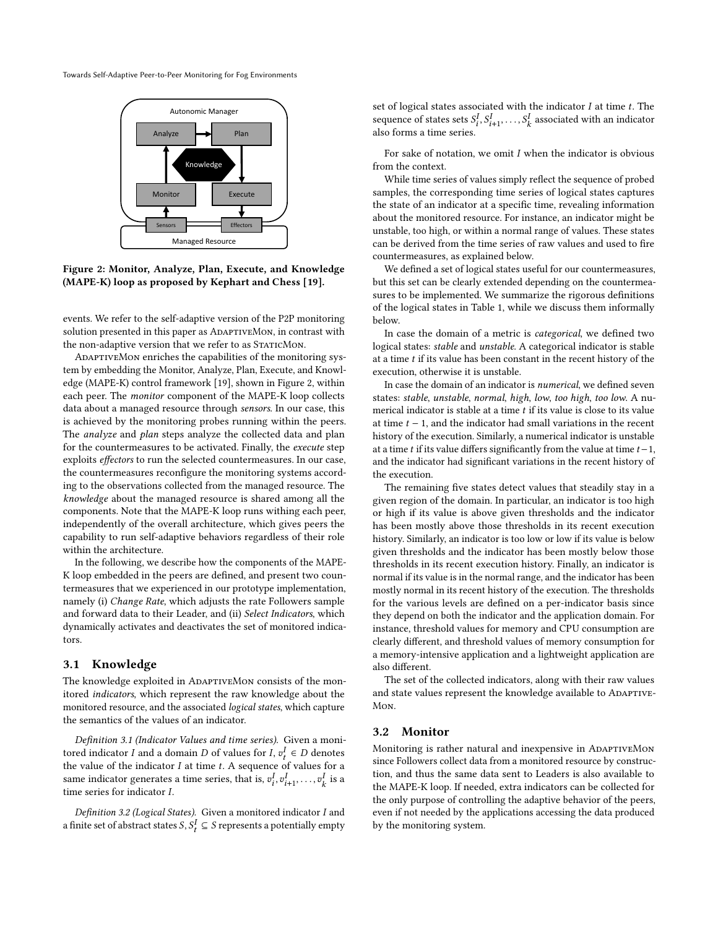<span id="page-2-0"></span>

Figure 2: Monitor, Analyze, Plan, Execute, and Knowledge (MAPE-K) loop as proposed by Kephart and Chess [\[19\]](#page-10-20).

events. We refer to the self-adaptive version of the P2P monitoring solution presented in this paper as ADAPTIVEMON, in contrast with the non-adaptive version that we refer to as STATICMON.

AdaptiveMon enriches the capabilities of the monitoring system by embedding the Monitor, Analyze, Plan, Execute, and Knowledge (MAPE-K) control framework [\[19\]](#page-10-20), shown in Figure [2,](#page-2-0) within each peer. The monitor component of the MAPE-K loop collects data about a managed resource through sensors. In our case, this is achieved by the monitoring probes running within the peers. The *analyze* and *plan* steps analyze the collected data and plan for the countermeasures to be activated. Finally, the execute step exploits effectors to run the selected countermeasures. In our case, the countermeasures reconfigure the monitoring systems according to the observations collected from the managed resource. The knowledge about the managed resource is shared among all the components. Note that the MAPE-K loop runs withing each peer, independently of the overall architecture, which gives peers the capability to run self-adaptive behaviors regardless of their role within the architecture.

In the following, we describe how the components of the MAPE-K loop embedded in the peers are defined, and present two countermeasures that we experienced in our prototype implementation, namely (i) Change Rate, which adjusts the rate Followers sample and forward data to their Leader, and (ii) Select Indicators, which dynamically activates and deactivates the set of monitored indicators.

#### 3.1 Knowledge

The knowledge exploited in ADAPTIVEMON consists of the monitored indicators, which represent the raw knowledge about the monitored resource, and the associated logical states, which capture the semantics of the values of an indicator.

Definition 3.1 (Indicator Values and time series). Given a monitored indicator I and a domain D of values for I,  $v_t^I \in D$  denotes the value of the indicator  $I$  at time  $t$ . A sequence of values for a same indicator generates a time series, that is,  $v_i^I, v_{i+1}^I, \ldots, v_k^I$  is a time series for indicator  $I$ .

Definition 3.2 (Logical States). Given a monitored indicator  $I$  and a finite set of abstract states  $S, S_t^I \subseteq S$  represents a potentially empty

set of logical states associated with the indicator  $I$  at time  $t$ . The sequence of states sets  $S_i^I, S_{i+1}^I, \ldots, S_k^I$  associated with an indicator also forms a time series.

For sake of notation, we omit  $I$  when the indicator is obvious from the context.

While time series of values simply reflect the sequence of probed samples, the corresponding time series of logical states captures the state of an indicator at a specific time, revealing information about the monitored resource. For instance, an indicator might be unstable, too high, or within a normal range of values. These states can be derived from the time series of raw values and used to fire countermeasures, as explained below.

We defined a set of logical states useful for our countermeasures, but this set can be clearly extended depending on the countermeasures to be implemented. We summarize the rigorous definitions of the logical states in Table [1,](#page-3-0) while we discuss them informally below.

In case the domain of a metric is categorical, we defined two logical states: stable and unstable. A categorical indicator is stable at a time  $t$  if its value has been constant in the recent history of the execution, otherwise it is unstable.

In case the domain of an indicator is numerical, we defined seven states: stable, unstable, normal, high, low, too high, too low. A numerical indicator is stable at a time  $t$  if its value is close to its value at time  $t - 1$ , and the indicator had small variations in the recent history of the execution. Similarly, a numerical indicator is unstable at a time *t* if its value differs significantly from the value at time  $t - 1$ , and the indicator had significant variations in the recent history of the execution.

The remaining five states detect values that steadily stay in a given region of the domain. In particular, an indicator is too high or high if its value is above given thresholds and the indicator has been mostly above those thresholds in its recent execution history. Similarly, an indicator is too low or low if its value is below given thresholds and the indicator has been mostly below those thresholds in its recent execution history. Finally, an indicator is normal if its value is in the normal range, and the indicator has been mostly normal in its recent history of the execution. The thresholds for the various levels are defined on a per-indicator basis since they depend on both the indicator and the application domain. For instance, threshold values for memory and CPU consumption are clearly different, and threshold values of memory consumption for a memory-intensive application and a lightweight application are also different.

The set of the collected indicators, along with their raw values and state values represent the knowledge available to ADAPTIVE-Mon.

#### 3.2 Monitor

Monitoring is rather natural and inexpensive in ADAPTIVEMON since Followers collect data from a monitored resource by construction, and thus the same data sent to Leaders is also available to the MAPE-K loop. If needed, extra indicators can be collected for the only purpose of controlling the adaptive behavior of the peers, even if not needed by the applications accessing the data produced by the monitoring system.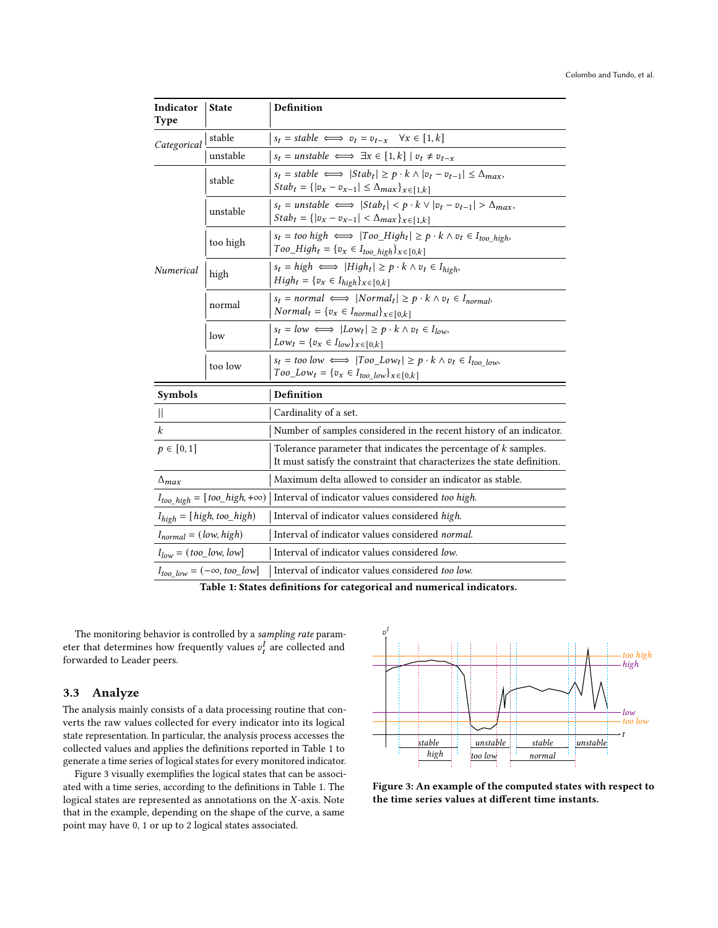<span id="page-3-0"></span>

| Indicator<br><b>Type</b>               | <b>State</b> | Definition                                                                                                                                                   |  |
|----------------------------------------|--------------|--------------------------------------------------------------------------------------------------------------------------------------------------------------|--|
| Categorical                            | stable       | $s_t = stable \iff v_t = v_{t-x} \quad \forall x \in [1, k]$                                                                                                 |  |
|                                        | unstable     | $s_t = \text{unstable} \iff \exists x \in [1, k] \mid v_t \neq v_{t-x}$                                                                                      |  |
| Numerical                              | stable       | $s_t = stable \iff  Stab_t  \geq p \cdot k \land  v_t - v_{t-1}  \leq \Delta_{max},$<br>$Stab_t = {  v_x - v_{x-1}  \leq \Delta_{max} }_{x \in [1,k]}$       |  |
|                                        | unstable     | $s_t = \text{unstable} \iff  Stab_t  < p \cdot k \lor  v_t - v_{t-1}  > \Delta_{\text{max}},$<br>$Stab_t = \{ v_x - v_{x-1}  < \Delta_{max}\}_{x \in [1,k]}$ |  |
|                                        | too high     | $s_t = too high \iff  Too_High_t  \geq p \cdot k \land v_t \in I_{too~high},$<br>$Too\_High_t = \{v_x \in I_{too\_high}\}_{x \in [0,k]}$                     |  |
|                                        | high         | $s_t = high \iff  High_t  \geq p \cdot k \land v_t \in I_{high},$<br>$High_t = \{v_x \in I_{high}\}_{x \in [0,k]}$                                           |  |
|                                        | normal       | $s_t = normal \iff  Normal_t  \geq p \cdot k \land v_t \in I_{normal}$<br>$Normal_t = \{v_x \in I_{normal}\}_{x \in [0,k]}$                                  |  |
|                                        | low          | $s_t = low \iff  Low_t  \ge p \cdot k \land v_t \in I_{low},$<br>$Low_t = \{v_x \in I_{low}\}_{x \in [0,k]}$                                                 |  |
|                                        | too low      | $s_t = too \, low \iff  Too\_Low_t  \ge p \cdot k \land v_t \in I_{too \, low},$<br>$Too\_Low_t = \{v_x \in I_{too\_low}\}_{x \in [0,k]}$                    |  |
| Symbols                                |              | Definition                                                                                                                                                   |  |
| $\mathbb{I}$                           |              | Cardinality of a set.                                                                                                                                        |  |
| $\boldsymbol{k}$                       |              | Number of samples considered in the recent history of an indicator.                                                                                          |  |
| $p \in [0, 1]$                         |              | Tolerance parameter that indicates the percentage of $k$ samples.<br>It must satisfy the constraint that characterizes the state definition.                 |  |
| $\Delta_{max}$                         |              | Maximum delta allowed to consider an indicator as stable.                                                                                                    |  |
| $I_{too\_high} = [too\_high, +\infty)$ |              | Interval of indicator values considered too high.                                                                                                            |  |
| $I_{high} = [high, too\_high]$         |              | Interval of indicator values considered high.                                                                                                                |  |
| $I_{normal} = (low, high)$             |              | Interval of indicator values considered normal.                                                                                                              |  |
| $I_{low} = (too\_low, low]$            |              | Interval of indicator values considered low.                                                                                                                 |  |
| $I_{too~low} = (-\infty, too\_low]$    |              | Interval of indicator values considered too low.                                                                                                             |  |

Table 1: States definitions for categorical and numerical indicators.

The monitoring behavior is controlled by a sampling rate parameter that determines how frequently values  $v_t^I$  are collected and forwarded to Leader peers.

## 3.3 Analyze

The analysis mainly consists of a data processing routine that converts the raw values collected for every indicator into its logical state representation. In particular, the analysis process accesses the collected values and applies the definitions reported in Table [1](#page-3-0) to generate a time series of logical states for every monitored indicator.

Figure [3](#page-3-1) visually exemplifies the logical states that can be associated with a time series, according to the definitions in Table [1.](#page-3-0) The logical states are represented as annotations on the  $X$ -axis. Note that in the example, depending on the shape of the curve, a same point may have 0, 1 or up to 2 logical states associated.

<span id="page-3-1"></span>

Figure 3: An example of the computed states with respect to the time series values at different time instants.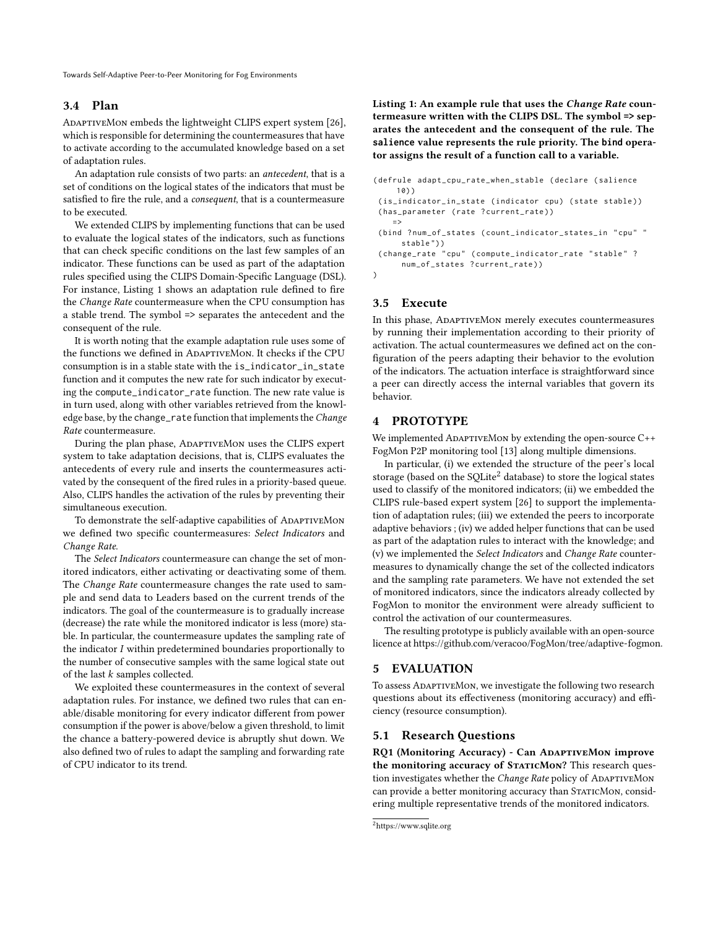## 3.4 Plan

ADAPTIVEMON embeds the lightweight CLIPS expert system [\[26\]](#page-10-28), which is responsible for determining the countermeasures that have to activate according to the accumulated knowledge based on a set of adaptation rules.

An adaptation rule consists of two parts: an antecedent, that is a set of conditions on the logical states of the indicators that must be satisfied to fire the rule, and a consequent, that is a countermeasure to be executed.

We extended CLIPS by implementing functions that can be used to evaluate the logical states of the indicators, such as functions that can check specific conditions on the last few samples of an indicator. These functions can be used as part of the adaptation rules specified using the CLIPS Domain-Specific Language (DSL). For instance, Listing [1](#page-4-2) shows an adaptation rule defined to fire the Change Rate countermeasure when the CPU consumption has a stable trend. The symbol => separates the antecedent and the consequent of the rule.

It is worth noting that the example adaptation rule uses some of the functions we defined in ADAPTIVEMON. It checks if the CPU consumption is in a stable state with the is\_indicator\_in\_state function and it computes the new rate for such indicator by executing the compute\_indicator\_rate function. The new rate value is in turn used, along with other variables retrieved from the knowledge base, by the change\_rate function that implements the Change Rate countermeasure.

During the plan phase, ADAPTIVEMON uses the CLIPS expert system to take adaptation decisions, that is, CLIPS evaluates the antecedents of every rule and inserts the countermeasures activated by the consequent of the fired rules in a priority-based queue. Also, CLIPS handles the activation of the rules by preventing their simultaneous execution.

To demonstrate the self-adaptive capabilities of ADAPTIVEMON we defined two specific countermeasures: Select Indicators and Change Rate.

The Select Indicators countermeasure can change the set of monitored indicators, either activating or deactivating some of them. The Change Rate countermeasure changes the rate used to sample and send data to Leaders based on the current trends of the indicators. The goal of the countermeasure is to gradually increase (decrease) the rate while the monitored indicator is less (more) stable. In particular, the countermeasure updates the sampling rate of the indicator  $I$  within predetermined boundaries proportionally to the number of consecutive samples with the same logical state out of the last  $k$  samples collected.

<span id="page-4-2"></span>We exploited these countermeasures in the context of several adaptation rules. For instance, we defined two rules that can enable/disable monitoring for every indicator different from power consumption if the power is above/below a given threshold, to limit the chance a battery-powered device is abruptly shut down. We also defined two of rules to adapt the sampling and forwarding rate of CPU indicator to its trend.

Listing 1: An example rule that uses the Change Rate countermeasure written with the CLIPS DSL. The symbol **=>** separates the antecedent and the consequent of the rule. The **salience** value represents the rule priority. The **bind** operator assigns the result of a function call to a variable.

```
( defrule adapt_cpu_rate_when_stable ( declare ( salience
     10) )
 (is_indicator_in_state (indicator cpu) (state stable))
 (has_parameter (rate ?current_rate))
    = >(bind ?num_of_states (count_indicator_states_in "cpu" "
      stable ") )
 (change_rate "cpu" (compute_indicator_rate "stable" ?
      num_of_states ? current_rate ) )
\lambda
```
## 3.5 Execute

In this phase, ADAPTIVEMON merely executes countermeasures by running their implementation according to their priority of activation. The actual countermeasures we defined act on the configuration of the peers adapting their behavior to the evolution of the indicators. The actuation interface is straightforward since a peer can directly access the internal variables that govern its behavior.

## <span id="page-4-0"></span>4 PROTOTYPE

We implemented ADAPTIVEMon by extending the open-source C++ FogMon P2P monitoring tool [\[13\]](#page-10-17) along multiple dimensions.

In particular, (i) we extended the structure of the peer's local storage (based on the SQLite<sup>[2](#page-4-3)</sup> database) to store the logical states used to classify of the monitored indicators; (ii) we embedded the CLIPS rule-based expert system [\[26\]](#page-10-28) to support the implementation of adaptation rules; (iii) we extended the peers to incorporate adaptive behaviors ; (iv) we added helper functions that can be used as part of the adaptation rules to interact with the knowledge; and (v) we implemented the Select Indicators and Change Rate countermeasures to dynamically change the set of the collected indicators and the sampling rate parameters. We have not extended the set of monitored indicators, since the indicators already collected by FogMon to monitor the environment were already sufficient to control the activation of our countermeasures.

The resulting prototype is publicly available with an open-source licence at [https://github.com/veracoo/FogMon/tree/adaptive-fogmon.](https://github.com/veracoo/FogMon/tree/adaptive-fogmon)

#### <span id="page-4-1"></span>5 EVALUATION

To assess ADAPTIVEMON, we investigate the following two research questions about its effectiveness (monitoring accuracy) and efficiency (resource consumption).

## 5.1 Research Questions

RQ1 (Monitoring Accuracy) - Can ADAPTIVEMON improve the monitoring accuracy of STATICMON? This research question investigates whether the Change Rate policy of ADAPTIVEMON can provide a better monitoring accuracy than STATICMON, considering multiple representative trends of the monitored indicators.

```
2https://www.sqlite.org
```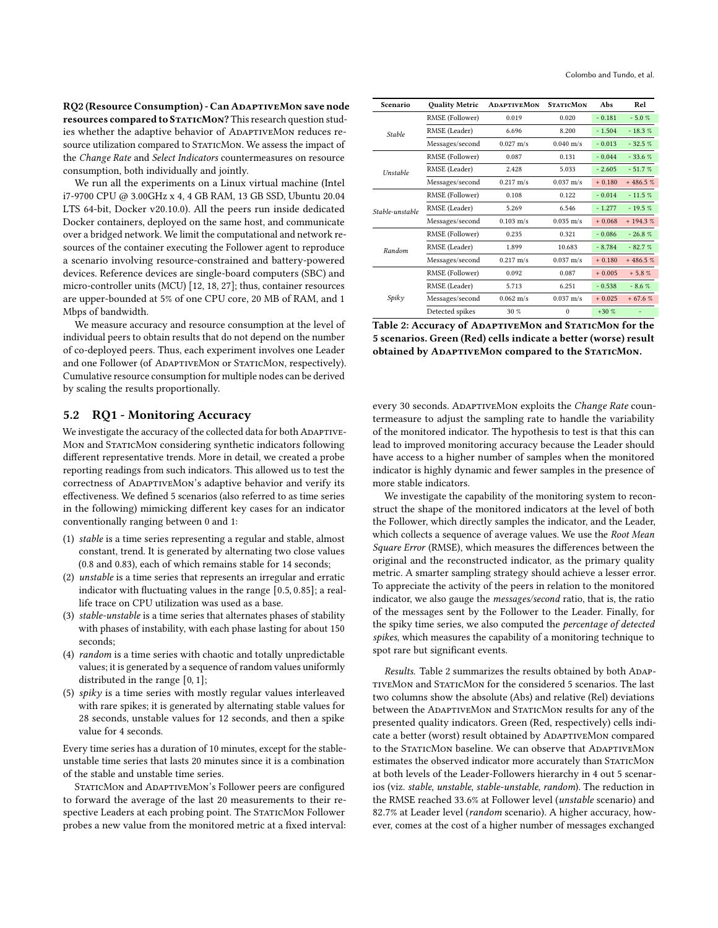RQ2 (Resource Consumption) - Can ADAPTIVEMON save node resources compared to STATICMON? This research question studies whether the adaptive behavior of ADAPTIVEMON reduces resource utilization compared to STATICMON. We assess the impact of the Change Rate and Select Indicators countermeasures on resource consumption, both individually and jointly.

We run all the experiments on a Linux virtual machine (Intel i7-9700 CPU @ 3.00GHz x 4, 4 GB RAM, 13 GB SSD, Ubuntu 20.04 LTS 64-bit, Docker v20.10.0). All the peers run inside dedicated Docker containers, deployed on the same host, and communicate over a bridged network. We limit the computational and network resources of the container executing the Follower agent to reproduce a scenario involving resource-constrained and battery-powered devices. Reference devices are single-board computers (SBC) and micro-controller units (MCU) [\[12,](#page-10-29) [18,](#page-10-30) [27\]](#page-10-31); thus, container resources are upper-bounded at 5% of one CPU core, 20 MB of RAM, and 1 Mbps of bandwidth.

We measure accuracy and resource consumption at the level of individual peers to obtain results that do not depend on the number of co-deployed peers. Thus, each experiment involves one Leader and one Follower (of ADAPTIVEMON or STATICMON, respectively). Cumulative resource consumption for multiple nodes can be derived by scaling the results proportionally.

#### 5.2 RQ1 - Monitoring Accuracy

We investigate the accuracy of the collected data for both ADAPTIVE-Mon and STATICMON considering synthetic indicators following different representative trends. More in detail, we created a probe reporting readings from such indicators. This allowed us to test the correctness of ADAPTIVEMON's adaptive behavior and verify its effectiveness. We defined 5 scenarios (also referred to as time series in the following) mimicking different key cases for an indicator conventionally ranging between 0 and 1:

- (1) stable is a time series representing a regular and stable, almost constant, trend. It is generated by alternating two close values (0.8 and 0.83), each of which remains stable for 14 seconds;
- (2) unstable is a time series that represents an irregular and erratic indicator with fluctuating values in the range [0.5, 0.85]; a reallife trace on CPU utilization was used as a base.
- (3) stable-unstable is a time series that alternates phases of stability with phases of instability, with each phase lasting for about 150 seconds;
- (4) random is a time series with chaotic and totally unpredictable values; it is generated by a sequence of random values uniformly distributed in the range [0, 1];
- (5)  $spiky$  is a time series with mostly regular values interleaved with rare spikes; it is generated by alternating stable values for 28 seconds, unstable values for 12 seconds, and then a spike value for 4 seconds.

Every time series has a duration of 10 minutes, except for the stableunstable time series that lasts 20 minutes since it is a combination of the stable and unstable time series.

STATICMON and ADAPTIVEMON's Follower peers are configured to forward the average of the last 20 measurements to their respective Leaders at each probing point. The STATICMON Follower probes a new value from the monitored metric at a fixed interval:

<span id="page-5-0"></span>

| Scenario        | <b>Quality Metric</b> | <b>ADAPTIVEMON</b>  | <b>STATICMON</b>      | Abs      | Rel       |
|-----------------|-----------------------|---------------------|-----------------------|----------|-----------|
|                 | RMSE (Follower)       | 0.019               | 0.020                 | $-0.181$ | $-5.0%$   |
| <b>Stable</b>   | RMSE (Leader)         | 6.696               | 8.200                 | $-1.504$ | $-18.3%$  |
|                 | Messages/second       | $0.027 \text{ m/s}$ | $0.040 \text{ m/s}$   | $-0.013$ | $-32.5%$  |
|                 | RMSE (Follower)       | 0.087               | 0.131                 | $-0.044$ | $-33.6%$  |
| Unstable        | RMSE (Leader)         | 2.428               | 5.033                 | $-2.605$ | $-51.7%$  |
|                 | Messages/second       | $0.217 \text{ m/s}$ | $0.037 \;{\rm m/s}$   | $+0.180$ | $+486.5%$ |
|                 | RMSE (Follower)       | 0.108               | 0.122                 | $-0.014$ | $-11.5%$  |
| Stable-unstable | RMSE (Leader)         | 5.269               | 6.546                 | $-1.277$ | $-19.5%$  |
|                 | Messages/second       | $0.103$ m/s         | $0.035 \; \text{m/s}$ | $+0.068$ | $+194.3%$ |
|                 | RMSE (Follower)       | 0.235               | 0.321                 | $-0.086$ | $-26.8%$  |
| Random          | RMSE (Leader)         | 1.899               | 10.683                | $-8.784$ | $-82.7%$  |
|                 | Messages/second       | $0.217 \text{ m/s}$ | $0.037 \; \text{m/s}$ | $+0.180$ | $+486.5%$ |
|                 | RMSE (Follower)       | 0.092               | 0.087                 | $+0.005$ | $+5.8%$   |
|                 | RMSE (Leader)         | 5.713               | 6.251                 | $-0.538$ | $-8.6%$   |
| Spiky           | Messages/second       | $0.062 \text{ m/s}$ | $0.037 \;{\rm m/s}$   | $+0.025$ | $+67.6%$  |
|                 | Detected spikes       | 30%                 | $\Omega$              | $+30%$   |           |

Table 2: Accuracy of ADAPTIVEMON and STATICMON for the 5 scenarios. Green (Red) cells indicate a better (worse) result obtained by ADAPTIVEMON compared to the STATICMON.

every 30 seconds. ADAPTIVEMON exploits the Change Rate countermeasure to adjust the sampling rate to handle the variability of the monitored indicator. The hypothesis to test is that this can lead to improved monitoring accuracy because the Leader should have access to a higher number of samples when the monitored indicator is highly dynamic and fewer samples in the presence of more stable indicators.

We investigate the capability of the monitoring system to reconstruct the shape of the monitored indicators at the level of both the Follower, which directly samples the indicator, and the Leader, which collects a sequence of average values. We use the Root Mean Square Error (RMSE), which measures the differences between the original and the reconstructed indicator, as the primary quality metric. A smarter sampling strategy should achieve a lesser error. To appreciate the activity of the peers in relation to the monitored indicator, we also gauge the messages/second ratio, that is, the ratio of the messages sent by the Follower to the Leader. Finally, for the spiky time series, we also computed the percentage of detected spikes, which measures the capability of a monitoring technique to spot rare but significant events.

Results. Table [2](#page-5-0) summarizes the results obtained by both ADAPtiveMon and StaticMon for the considered 5 scenarios. The last two columns show the absolute (Abs) and relative (Rel) deviations between the ADAPTIVEMON and STATICMON results for any of the presented quality indicators. Green (Red, respectively) cells indicate a better (worst) result obtained by ADAPTIVEMON compared to the STATICMON baseline. We can observe that ADAPTIVEMON estimates the observed indicator more accurately than STATICMON at both levels of the Leader-Followers hierarchy in 4 out 5 scenarios (viz. stable, unstable, stable-unstable, random). The reduction in the RMSE reached 33.6% at Follower level (unstable scenario) and 82.7% at Leader level (random scenario). A higher accuracy, however, comes at the cost of a higher number of messages exchanged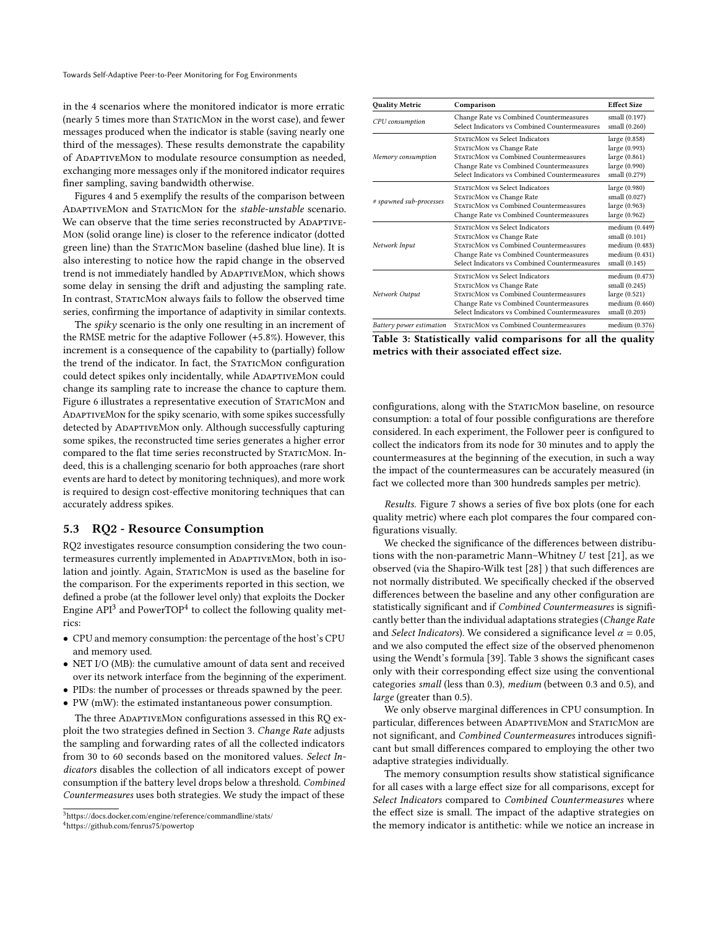in the 4 scenarios where the monitored indicator is more erratic (nearly 5 times more than STATICMON in the worst case), and fewer messages produced when the indicator is stable (saving nearly one third of the messages). These results demonstrate the capability of AdaptiveMon to modulate resource consumption as needed, exchanging more messages only if the monitored indicator requires finer sampling, saving bandwidth otherwise.

Figures [4](#page-7-0) and [5](#page-7-1) exemplify the results of the comparison between ADAPTIVEMON and STATICMON for the stable-unstable scenario. We can observe that the time series reconstructed by ADAPTIVE-Mon (solid orange line) is closer to the reference indicator (dotted green line) than the STATICMON baseline (dashed blue line). It is also interesting to notice how the rapid change in the observed trend is not immediately handled by ADAPTIVEMON, which shows some delay in sensing the drift and adjusting the sampling rate. In contrast, STATICMON always fails to follow the observed time series, confirming the importance of adaptivity in similar contexts.

The *spiky* scenario is the only one resulting in an increment of the RMSE metric for the adaptive Follower (+5.8%). However, this increment is a consequence of the capability to (partially) follow the trend of the indicator. In fact, the STATICMON configuration could detect spikes only incidentally, while ADAPTIVEMON could change its sampling rate to increase the chance to capture them. Figure [6](#page-7-2) illustrates a representative execution of STATICMON and AdaptiveMon for the spiky scenario, with some spikes successfully detected by ADAPTIVEMON only. Although successfully capturing some spikes, the reconstructed time series generates a higher error compared to the flat time series reconstructed by STATICMON. Indeed, this is a challenging scenario for both approaches (rare short events are hard to detect by monitoring techniques), and more work is required to design cost-effective monitoring techniques that can accurately address spikes.

### 5.3 RQ2 - Resource Consumption

RQ2 investigates resource consumption considering the two countermeasures currently implemented in ADAPTIVEMON, both in isolation and jointly. Again, STATICMON is used as the baseline for the comparison. For the experiments reported in this section, we defined a probe (at the follower level only) that exploits the Docker Engine  $API^3$  $API^3$  and PowerTOP<sup>[4](#page-6-1)</sup> to collect the following quality metrics:

- CPU and memory consumption: the percentage of the host's CPU and memory used.
- NET I/O (MB): the cumulative amount of data sent and received over its network interface from the beginning of the experiment.
- PIDs: the number of processes or threads spawned by the peer.
- PW (mW): the estimated instantaneous power consumption.

The three ADAPTIVEMON configurations assessed in this RQ exploit the two strategies defined in Section [3.](#page-1-2) Change Rate adjusts the sampling and forwarding rates of all the collected indicators from 30 to 60 seconds based on the monitored values. Select Indicators disables the collection of all indicators except of power consumption if the battery level drops below a threshold. Combined Countermeasures uses both strategies. We study the impact of these

<span id="page-6-2"></span>

| <b>Quality Metric</b>    | Comparison                                                                                                                                                                                      | <b>Effect Size</b>                                                                   |  |
|--------------------------|-------------------------------------------------------------------------------------------------------------------------------------------------------------------------------------------------|--------------------------------------------------------------------------------------|--|
| CPU consumption          | Change Rate vs Combined Countermeasures<br>Select Indicators vs Combined Countermeasures                                                                                                        | small (0.197)<br>small (0.260)                                                       |  |
| Memory consumption       | STATICMON vs Select Indicators<br>STATICMON vs Change Rate<br>STATICMON vs Combined Countermeasures<br>Change Rate vs Combined Countermeasures<br>Select Indicators vs Combined Countermeasures | large (0.858)<br>large (0.993)<br>large (0.861)<br>large (0.990)<br>small (0.279)    |  |
| # spawned sub-processes  | STATICMON vs Select Indicators<br>STATICMON vs Change Rate<br>STATICMON vs Combined Countermeasures<br>Change Rate vs Combined Countermeasures                                                  | large (0.980)<br>small (0.027)<br>large (0.963)<br>large (0.962)                     |  |
| Network Input            | STATICMON vs Select Indicators<br>STATICMON vs Change Rate<br>STATICMON vs Combined Countermeasures<br>Change Rate vs Combined Countermeasures<br>Select Indicators vs Combined Countermeasures | medium (0.449)<br>small (0.101)<br>medium (0.483)<br>medium (0.431)<br>small (0.145) |  |
| Network Output           | STATICMON vs Select Indicators<br>STATICMON vs Change Rate<br>STATICMON vs Combined Countermeasures<br>Change Rate vs Combined Countermeasures<br>Select Indicators vs Combined Countermeasures | medium (0.473)<br>small (0.245)<br>large (0.521)<br>medium (0.460)<br>small (0.203)  |  |
| Battery power estimation | STATICMON vs Combined Countermeasures                                                                                                                                                           | medium (0.376)                                                                       |  |

Table 3: Statistically valid comparisons for all the quality metrics with their associated effect size.

configurations, along with the STATICMON baseline, on resource consumption: a total of four possible configurations are therefore considered. In each experiment, the Follower peer is configured to collect the indicators from its node for 30 minutes and to apply the countermeasures at the beginning of the execution, in such a way the impact of the countermeasures can be accurately measured (in fact we collected more than 300 hundreds samples per metric).

Results. Figure [7](#page-7-3) shows a series of five box plots (one for each quality metric) where each plot compares the four compared configurations visually.

We checked the significance of the differences between distributions with the non-parametric Mann–Whitney  $U$  test [\[21\]](#page-10-32), as we observed (via the Shapiro-Wilk test [\[28\]](#page-10-33) ) that such differences are not normally distributed. We specifically checked if the observed differences between the baseline and any other configuration are statistically significant and if Combined Countermeasures is significantly better than the individual adaptations strategies (Change Rate and Select Indicators). We considered a significance level  $\alpha = 0.05$ , and we also computed the effect size of the observed phenomenon using the Wendt's formula [\[39\]](#page-10-34). Table [3](#page-6-2) shows the significant cases only with their corresponding effect size using the conventional categories small (less than 0.3), medium (between 0.3 and 0.5), and large (greater than 0.5).

We only observe marginal differences in CPU consumption. In particular, differences between ADAPTIVEMON and STATICMON are not significant, and Combined Countermeasures introduces significant but small differences compared to employing the other two adaptive strategies individually.

The memory consumption results show statistical significance for all cases with a large effect size for all comparisons, except for Select Indicators compared to Combined Countermeasures where the effect size is small. The impact of the adaptive strategies on the memory indicator is antithetic: while we notice an increase in

<span id="page-6-1"></span><span id="page-6-0"></span><sup>3</sup>https://docs.docker.com/engine/reference/commandline/stats/ <sup>4</sup>https://github.com/fenrus75/powertop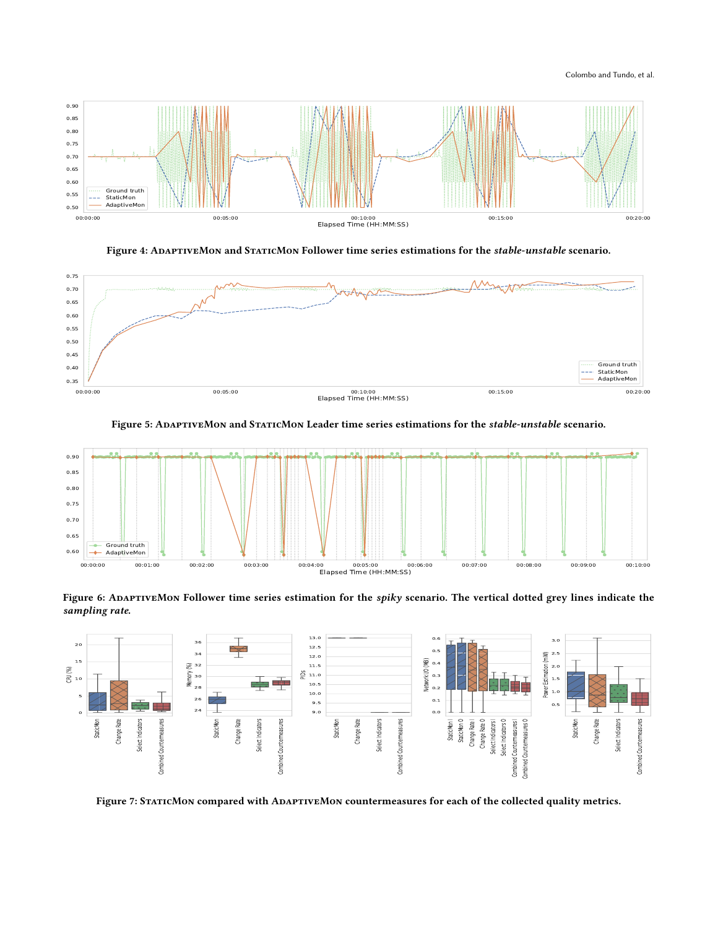#### Colombo and Tundo, et al.

<span id="page-7-0"></span>

Figure 4: ADAPTIVEMON and STATICMON Follower time series estimations for the stable-unstable scenario.

<span id="page-7-1"></span>

Figure 5: ADAPTIVEMON and STATICMON Leader time series estimations for the stable-unstable scenario.

<span id="page-7-2"></span>

Figure 6: ADAPTIVEMON Follower time series estimation for the spiky scenario. The vertical dotted grey lines indicate the sampling rate.

<span id="page-7-3"></span>

Figure 7: STATICMON compared with ADAPTIVEMON countermeasures for each of the collected quality metrics.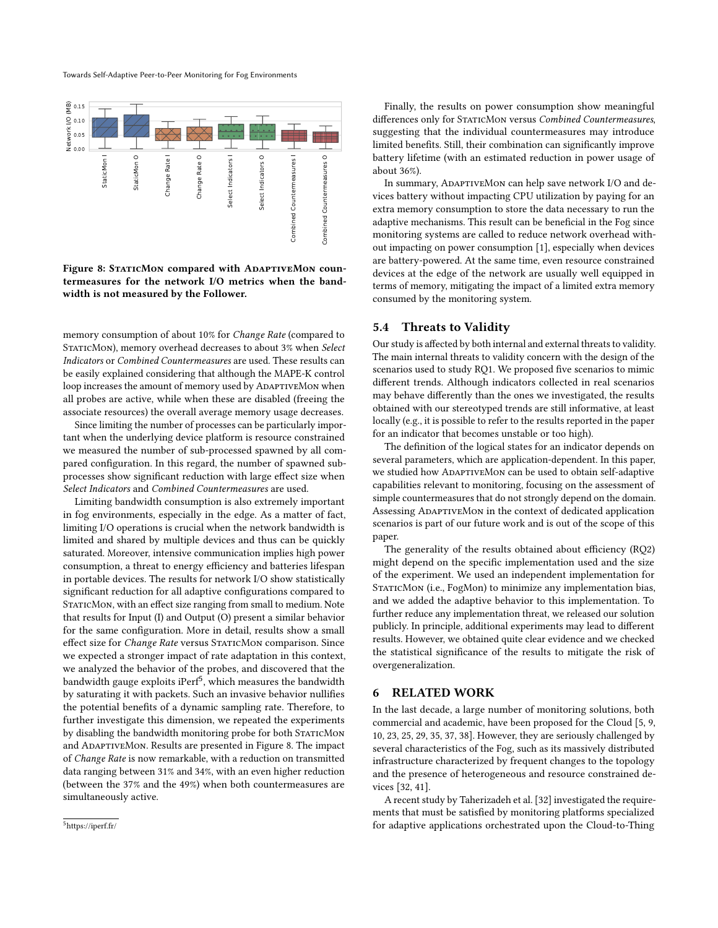Towards Self-Adaptive Peer-to-Peer Monitoring for Fog Environments

<span id="page-8-2"></span>

Figure 8: STATICMON compared with ADAPTIVEMON countermeasures for the network I/O metrics when the bandwidth is not measured by the Follower.

memory consumption of about 10% for Change Rate (compared to STATICMON), memory overhead decreases to about 3% when Select Indicators or Combined Countermeasures are used. These results can be easily explained considering that although the MAPE-K control loop increases the amount of memory used by ADAPTIVEMON when all probes are active, while when these are disabled (freeing the associate resources) the overall average memory usage decreases.

Since limiting the number of processes can be particularly important when the underlying device platform is resource constrained we measured the number of sub-processed spawned by all compared configuration. In this regard, the number of spawned subprocesses show significant reduction with large effect size when Select Indicators and Combined Countermeasures are used.

Limiting bandwidth consumption is also extremely important in fog environments, especially in the edge. As a matter of fact, limiting I/O operations is crucial when the network bandwidth is limited and shared by multiple devices and thus can be quickly saturated. Moreover, intensive communication implies high power consumption, a threat to energy efficiency and batteries lifespan in portable devices. The results for network I/O show statistically significant reduction for all adaptive configurations compared to STATICMON, with an effect size ranging from small to medium. Note that results for Input (I) and Output (O) present a similar behavior for the same configuration. More in detail, results show a small effect size for Change Rate versus STATICMON comparison. Since we expected a stronger impact of rate adaptation in this context, we analyzed the behavior of the probes, and discovered that the bandwidth gauge exploits i $\mathrm{Perf}^5$  $\mathrm{Perf}^5$ , which measures the bandwidth by saturating it with packets. Such an invasive behavior nullifies the potential benefits of a dynamic sampling rate. Therefore, to further investigate this dimension, we repeated the experiments by disabling the bandwidth monitoring probe for both STATICMON and AdaptiveMon. Results are presented in Figure [8.](#page-8-2) The impact of Change Rate is now remarkable, with a reduction on transmitted data ranging between 31% and 34%, with an even higher reduction (between the 37% and the 49%) when both countermeasures are simultaneously active.

Finally, the results on power consumption show meaningful differences only for STATICMON versus Combined Countermeasures, suggesting that the individual countermeasures may introduce limited benefits. Still, their combination can significantly improve battery lifetime (with an estimated reduction in power usage of about 36%).

In summary, ADAPTIVEMON can help save network I/O and devices battery without impacting CPU utilization by paying for an extra memory consumption to store the data necessary to run the adaptive mechanisms. This result can be beneficial in the Fog since monitoring systems are called to reduce network overhead without impacting on power consumption [\[1\]](#page-10-3), especially when devices are battery-powered. At the same time, even resource constrained devices at the edge of the network are usually well equipped in terms of memory, mitigating the impact of a limited extra memory consumed by the monitoring system.

#### 5.4 Threats to Validity

Our study is affected by both internal and external threats to validity. The main internal threats to validity concern with the design of the scenarios used to study RQ1. We proposed five scenarios to mimic different trends. Although indicators collected in real scenarios may behave differently than the ones we investigated, the results obtained with our stereotyped trends are still informative, at least locally (e.g., it is possible to refer to the results reported in the paper for an indicator that becomes unstable or too high).

The definition of the logical states for an indicator depends on several parameters, which are application-dependent. In this paper, we studied how ADAPTIVEMON can be used to obtain self-adaptive capabilities relevant to monitoring, focusing on the assessment of simple countermeasures that do not strongly depend on the domain. Assessing ADAPTIVEMON in the context of dedicated application scenarios is part of our future work and is out of the scope of this paper.

The generality of the results obtained about efficiency (RQ2) might depend on the specific implementation used and the size of the experiment. We used an independent implementation for STATICMON (i.e., FogMon) to minimize any implementation bias, and we added the adaptive behavior to this implementation. To further reduce any implementation threat, we released our solution publicly. In principle, additional experiments may lead to different results. However, we obtained quite clear evidence and we checked the statistical significance of the results to mitigate the risk of overgeneralization.

### <span id="page-8-0"></span>6 RELATED WORK

In the last decade, a large number of monitoring solutions, both commercial and academic, have been proposed for the Cloud [\[5,](#page-10-8) [9,](#page-10-9) [10,](#page-10-10) [23,](#page-10-11) [25,](#page-10-12) [29,](#page-10-13) [35,](#page-10-14) [37,](#page-10-15) [38\]](#page-10-16). However, they are seriously challenged by several characteristics of the Fog, such as its massively distributed infrastructure characterized by frequent changes to the topology and the presence of heterogeneous and resource constrained devices [\[32,](#page-10-5) [41\]](#page-10-2).

A recent study by Taherizadeh et al. [\[32\]](#page-10-5) investigated the requirements that must be satisfied by monitoring platforms specialized for adaptive applications orchestrated upon the Cloud-to-Thing

<span id="page-8-1"></span><sup>5</sup>https://iperf.fr/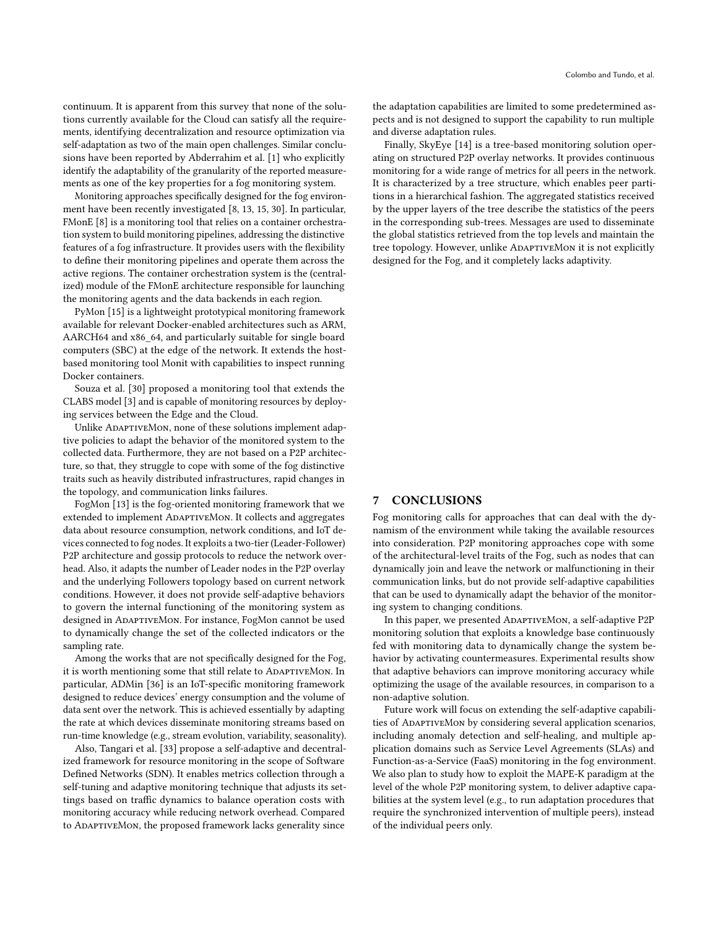continuum. It is apparent from this survey that none of the solutions currently available for the Cloud can satisfy all the requirements, identifying decentralization and resource optimization via self-adaptation as two of the main open challenges. Similar conclusions have been reported by Abderrahim et al. [\[1\]](#page-10-3) who explicitly identify the adaptability of the granularity of the reported measurements as one of the key properties for a fog monitoring system.

Monitoring approaches specifically designed for the fog environment have been recently investigated [\[8,](#page-10-35) [13,](#page-10-17) [15,](#page-10-36) [30\]](#page-10-37). In particular, FMonE [\[8\]](#page-10-35) is a monitoring tool that relies on a container orchestration system to build monitoring pipelines, addressing the distinctive features of a fog infrastructure. It provides users with the flexibility to define their monitoring pipelines and operate them across the active regions. The container orchestration system is the (centralized) module of the FMonE architecture responsible for launching the monitoring agents and the data backends in each region.

PyMon [\[15\]](#page-10-36) is a lightweight prototypical monitoring framework available for relevant Docker-enabled architectures such as ARM, AARCH64 and x86\_64, and particularly suitable for single board computers (SBC) at the edge of the network. It extends the hostbased monitoring tool Monit with capabilities to inspect running Docker containers.

Souza et al. [\[30\]](#page-10-37) proposed a monitoring tool that extends the CLABS model [\[3\]](#page-10-38) and is capable of monitoring resources by deploying services between the Edge and the Cloud.

Unlike ADAPTIVEMON, none of these solutions implement adaptive policies to adapt the behavior of the monitored system to the collected data. Furthermore, they are not based on a P2P architecture, so that, they struggle to cope with some of the fog distinctive traits such as heavily distributed infrastructures, rapid changes in the topology, and communication links failures.

FogMon [\[13\]](#page-10-17) is the fog-oriented monitoring framework that we extended to implement ADAPTIVEMON. It collects and aggregates data about resource consumption, network conditions, and IoT devices connected to fog nodes. It exploits a two-tier (Leader-Follower) P2P architecture and gossip protocols to reduce the network overhead. Also, it adapts the number of Leader nodes in the P2P overlay and the underlying Followers topology based on current network conditions. However, it does not provide self-adaptive behaviors to govern the internal functioning of the monitoring system as designed in ADAPTIVEMON. For instance, FogMon cannot be used to dynamically change the set of the collected indicators or the sampling rate.

Among the works that are not specifically designed for the Fog, it is worth mentioning some that still relate to ADAPTIVEMON. In particular, ADMin [\[36\]](#page-10-39) is an IoT-specific monitoring framework designed to reduce devices' energy consumption and the volume of data sent over the network. This is achieved essentially by adapting the rate at which devices disseminate monitoring streams based on run-time knowledge (e.g., stream evolution, variability, seasonality).

Also, Tangari et al. [\[33\]](#page-10-40) propose a self-adaptive and decentralized framework for resource monitoring in the scope of Software Defined Networks (SDN). It enables metrics collection through a self-tuning and adaptive monitoring technique that adjusts its settings based on traffic dynamics to balance operation costs with monitoring accuracy while reducing network overhead. Compared to ADAPTIVEMON, the proposed framework lacks generality since

the adaptation capabilities are limited to some predetermined aspects and is not designed to support the capability to run multiple and diverse adaptation rules.

Finally, SkyEye [\[14\]](#page-10-18) is a tree-based monitoring solution operating on structured P2P overlay networks. It provides continuous monitoring for a wide range of metrics for all peers in the network. It is characterized by a tree structure, which enables peer partitions in a hierarchical fashion. The aggregated statistics received by the upper layers of the tree describe the statistics of the peers in the corresponding sub-trees. Messages are used to disseminate the global statistics retrieved from the top levels and maintain the tree topology. However, unlike ADAPTIVEMON it is not explicitly designed for the Fog, and it completely lacks adaptivity.

#### <span id="page-9-0"></span>7 CONCLUSIONS

Fog monitoring calls for approaches that can deal with the dynamism of the environment while taking the available resources into consideration. P2P monitoring approaches cope with some of the architectural-level traits of the Fog, such as nodes that can dynamically join and leave the network or malfunctioning in their communication links, but do not provide self-adaptive capabilities that can be used to dynamically adapt the behavior of the monitoring system to changing conditions.

In this paper, we presented ADAPTIVEMON, a self-adaptive P2P monitoring solution that exploits a knowledge base continuously fed with monitoring data to dynamically change the system behavior by activating countermeasures. Experimental results show that adaptive behaviors can improve monitoring accuracy while optimizing the usage of the available resources, in comparison to a non-adaptive solution.

Future work will focus on extending the self-adaptive capabilities of ADAPTIVEMON by considering several application scenarios, including anomaly detection and self-healing, and multiple application domains such as Service Level Agreements (SLAs) and Function-as-a-Service (FaaS) monitoring in the fog environment. We also plan to study how to exploit the MAPE-K paradigm at the level of the whole P2P monitoring system, to deliver adaptive capabilities at the system level (e.g., to run adaptation procedures that require the synchronized intervention of multiple peers), instead of the individual peers only.